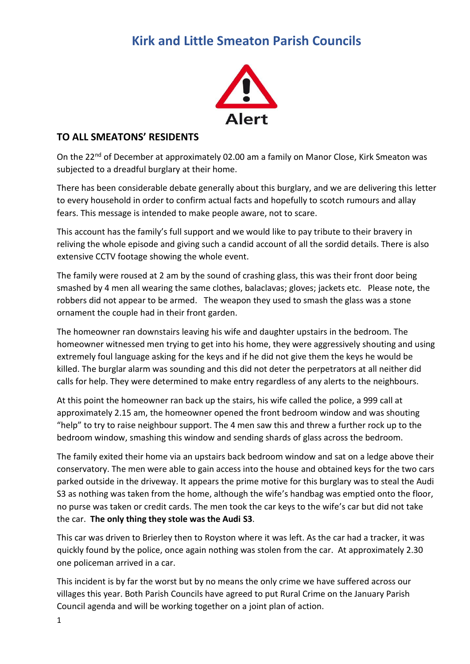## **Kirk and Little Smeaton Parish Councils**



## **TO ALL SMEATONS' RESIDENTS**

On the 22<sup>nd</sup> of December at approximately 02.00 am a family on Manor Close, Kirk Smeaton was subjected to a dreadful burglary at their home.

There has been considerable debate generally about this burglary, and we are delivering this letter to every household in order to confirm actual facts and hopefully to scotch rumours and allay fears. This message is intended to make people aware, not to scare.

This account has the family's full support and we would like to pay tribute to their bravery in reliving the whole episode and giving such a candid account of all the sordid details. There is also extensive CCTV footage showing the whole event.

The family were roused at 2 am by the sound of crashing glass, this was their front door being smashed by 4 men all wearing the same clothes, balaclavas; gloves; jackets etc. Please note, the robbers did not appear to be armed. The weapon they used to smash the glass was a stone ornament the couple had in their front garden.

The homeowner ran downstairs leaving his wife and daughter upstairs in the bedroom. The homeowner witnessed men trying to get into his home, they were aggressively shouting and using extremely foul language asking for the keys and if he did not give them the keys he would be killed. The burglar alarm was sounding and this did not deter the perpetrators at all neither did calls for help. They were determined to make entry regardless of any alerts to the neighbours.

At this point the homeowner ran back up the stairs, his wife called the police, a 999 call at approximately 2.15 am, the homeowner opened the front bedroom window and was shouting "help" to try to raise neighbour support. The 4 men saw this and threw a further rock up to the bedroom window, smashing this window and sending shards of glass across the bedroom.

The family exited their home via an upstairs back bedroom window and sat on a ledge above their conservatory. The men were able to gain access into the house and obtained keys for the two cars parked outside in the driveway. It appears the prime motive for this burglary was to steal the Audi S3 as nothing was taken from the home, although the wife's handbag was emptied onto the floor, no purse was taken or credit cards. The men took the car keys to the wife's car but did not take the car. **The only thing they stole was the Audi S3**.

This car was driven to Brierley then to Royston where it was left. As the car had a tracker, it was quickly found by the police, once again nothing was stolen from the car. At approximately 2.30 one policeman arrived in a car.

This incident is by far the worst but by no means the only crime we have suffered across our villages this year. Both Parish Councils have agreed to put Rural Crime on the January Parish Council agenda and will be working together on a joint plan of action.